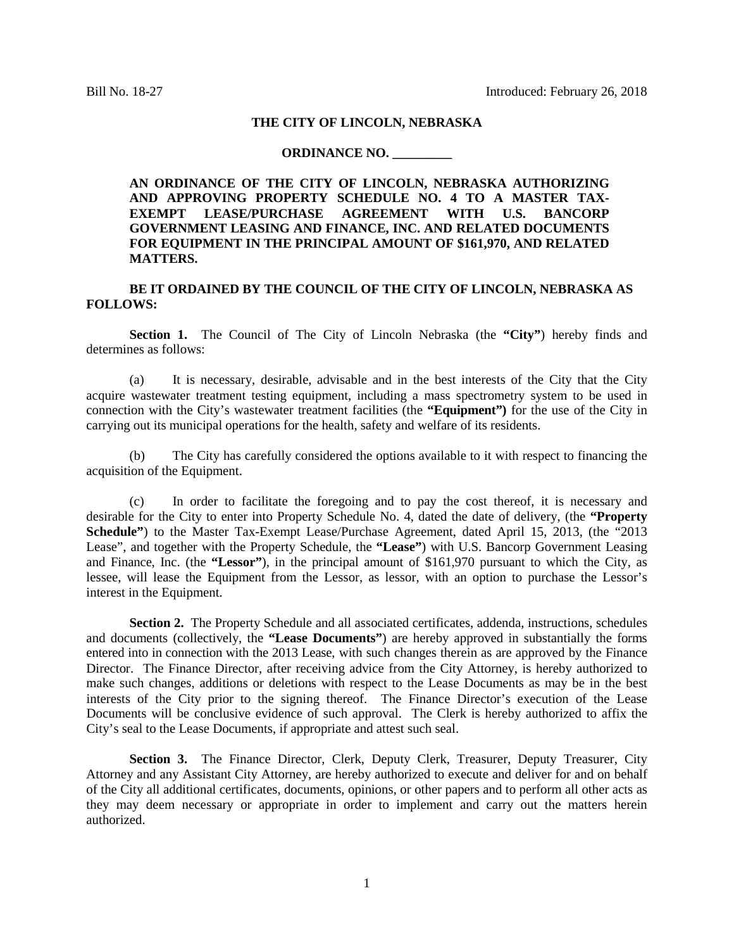#### **THE CITY OF LINCOLN, NEBRASKA**

### **ORDINANCE NO. \_\_\_\_\_\_\_\_\_**

# **AN ORDINANCE OF THE CITY OF LINCOLN, NEBRASKA AUTHORIZING AND APPROVING PROPERTY SCHEDULE NO. 4 TO A MASTER TAX-EXEMPT LEASE/PURCHASE AGREEMENT WITH U.S. BANCORP GOVERNMENT LEASING AND FINANCE, INC. AND RELATED DOCUMENTS FOR EQUIPMENT IN THE PRINCIPAL AMOUNT OF \$161,970, AND RELATED MATTERS.**

## **BE IT ORDAINED BY THE COUNCIL OF THE CITY OF LINCOLN, NEBRASKA AS FOLLOWS:**

**Section 1.** The Council of The City of Lincoln Nebraska (the **"City"**) hereby finds and determines as follows:

(a) It is necessary, desirable, advisable and in the best interests of the City that the City acquire wastewater treatment testing equipment, including a mass spectrometry system to be used in connection with the City's wastewater treatment facilities (the **"Equipment")** for the use of the City in carrying out its municipal operations for the health, safety and welfare of its residents.

(b) The City has carefully considered the options available to it with respect to financing the acquisition of the Equipment.

(c) In order to facilitate the foregoing and to pay the cost thereof, it is necessary and desirable for the City to enter into Property Schedule No. 4, dated the date of delivery, (the **"Property Schedule"**) to the Master Tax-Exempt Lease/Purchase Agreement, dated April 15, 2013, (the "2013 Lease", and together with the Property Schedule, the **"Lease"**) with U.S. Bancorp Government Leasing and Finance, Inc. (the **"Lessor"**), in the principal amount of \$161,970 pursuant to which the City, as lessee, will lease the Equipment from the Lessor, as lessor, with an option to purchase the Lessor's interest in the Equipment.

**Section 2.** The Property Schedule and all associated certificates, addenda, instructions, schedules and documents (collectively, the **"Lease Documents"**) are hereby approved in substantially the forms entered into in connection with the 2013 Lease, with such changes therein as are approved by the Finance Director. The Finance Director, after receiving advice from the City Attorney, is hereby authorized to make such changes, additions or deletions with respect to the Lease Documents as may be in the best interests of the City prior to the signing thereof. The Finance Director's execution of the Lease Documents will be conclusive evidence of such approval. The Clerk is hereby authorized to affix the City's seal to the Lease Documents, if appropriate and attest such seal.

**Section 3.** The Finance Director, Clerk, Deputy Clerk, Treasurer, Deputy Treasurer, City Attorney and any Assistant City Attorney, are hereby authorized to execute and deliver for and on behalf of the City all additional certificates, documents, opinions, or other papers and to perform all other acts as they may deem necessary or appropriate in order to implement and carry out the matters herein authorized.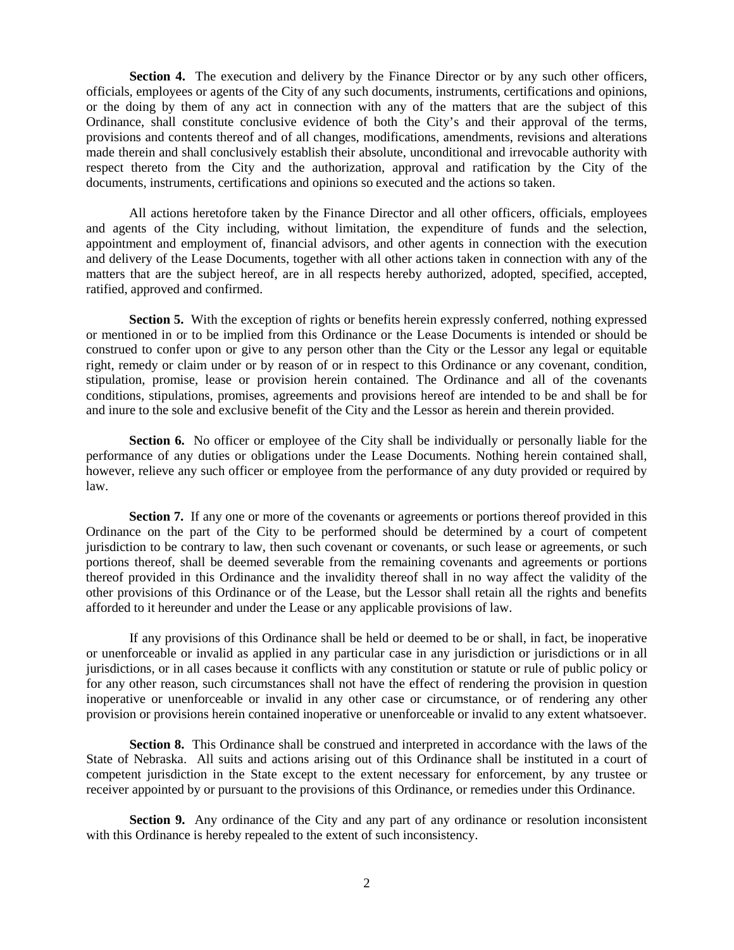**Section 4.** The execution and delivery by the Finance Director or by any such other officers, officials, employees or agents of the City of any such documents, instruments, certifications and opinions, or the doing by them of any act in connection with any of the matters that are the subject of this Ordinance, shall constitute conclusive evidence of both the City's and their approval of the terms, provisions and contents thereof and of all changes, modifications, amendments, revisions and alterations made therein and shall conclusively establish their absolute, unconditional and irrevocable authority with respect thereto from the City and the authorization, approval and ratification by the City of the documents, instruments, certifications and opinions so executed and the actions so taken.

All actions heretofore taken by the Finance Director and all other officers, officials, employees and agents of the City including, without limitation, the expenditure of funds and the selection, appointment and employment of, financial advisors, and other agents in connection with the execution and delivery of the Lease Documents, together with all other actions taken in connection with any of the matters that are the subject hereof, are in all respects hereby authorized, adopted, specified, accepted, ratified, approved and confirmed.

**Section 5.** With the exception of rights or benefits herein expressly conferred, nothing expressed or mentioned in or to be implied from this Ordinance or the Lease Documents is intended or should be construed to confer upon or give to any person other than the City or the Lessor any legal or equitable right, remedy or claim under or by reason of or in respect to this Ordinance or any covenant, condition, stipulation, promise, lease or provision herein contained. The Ordinance and all of the covenants conditions, stipulations, promises, agreements and provisions hereof are intended to be and shall be for and inure to the sole and exclusive benefit of the City and the Lessor as herein and therein provided.

**Section 6.** No officer or employee of the City shall be individually or personally liable for the performance of any duties or obligations under the Lease Documents. Nothing herein contained shall, however, relieve any such officer or employee from the performance of any duty provided or required by law.

**Section 7.** If any one or more of the covenants or agreements or portions thereof provided in this Ordinance on the part of the City to be performed should be determined by a court of competent jurisdiction to be contrary to law, then such covenant or covenants, or such lease or agreements, or such portions thereof, shall be deemed severable from the remaining covenants and agreements or portions thereof provided in this Ordinance and the invalidity thereof shall in no way affect the validity of the other provisions of this Ordinance or of the Lease, but the Lessor shall retain all the rights and benefits afforded to it hereunder and under the Lease or any applicable provisions of law.

If any provisions of this Ordinance shall be held or deemed to be or shall, in fact, be inoperative or unenforceable or invalid as applied in any particular case in any jurisdiction or jurisdictions or in all jurisdictions, or in all cases because it conflicts with any constitution or statute or rule of public policy or for any other reason, such circumstances shall not have the effect of rendering the provision in question inoperative or unenforceable or invalid in any other case or circumstance, or of rendering any other provision or provisions herein contained inoperative or unenforceable or invalid to any extent whatsoever.

**Section 8.** This Ordinance shall be construed and interpreted in accordance with the laws of the State of Nebraska. All suits and actions arising out of this Ordinance shall be instituted in a court of competent jurisdiction in the State except to the extent necessary for enforcement, by any trustee or receiver appointed by or pursuant to the provisions of this Ordinance, or remedies under this Ordinance.

**Section 9.** Any ordinance of the City and any part of any ordinance or resolution inconsistent with this Ordinance is hereby repealed to the extent of such inconsistency.